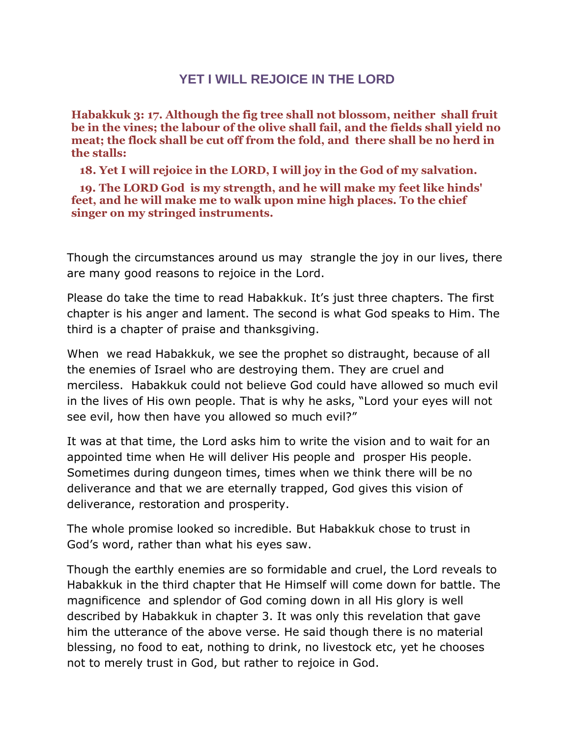## **YET I WILL REJOICE IN THE LORD**

**Habakkuk 3: 17. Although the fig tree shall not blossom, neither shall fruit be in the vines; the labour of the olive shall fail, and the fields shall yield no meat; the flock shall be cut off from the fold, and there shall be no herd in the stalls:** 

 **18. Yet I will rejoice in the LORD, I will joy in the God of my salvation.** 

 **19. The LORD God is my strength, and he will make my feet like hinds' feet, and he will make me to walk upon mine high places. To the chief singer on my stringed instruments.** 

Though the circumstances around us may strangle the joy in our lives, there are many good reasons to rejoice in the Lord.

Please do take the time to read Habakkuk. It's just three chapters. The first chapter is his anger and lament. The second is what God speaks to Him. The third is a chapter of praise and thanksgiving.

When we read Habakkuk, we see the prophet so distraught, because of all the enemies of Israel who are destroying them. They are cruel and merciless. Habakkuk could not believe God could have allowed so much evil in the lives of His own people. That is why he asks, "Lord your eyes will not see evil, how then have you allowed so much evil?"

It was at that time, the Lord asks him to write the vision and to wait for an appointed time when He will deliver His people and prosper His people. Sometimes during dungeon times, times when we think there will be no deliverance and that we are eternally trapped, God gives this vision of deliverance, restoration and prosperity.

The whole promise looked so incredible. But Habakkuk chose to trust in God's word, rather than what his eyes saw.

Though the earthly enemies are so formidable and cruel, the Lord reveals to Habakkuk in the third chapter that He Himself will come down for battle. The magnificence and splendor of God coming down in all His glory is well described by Habakkuk in chapter 3. It was only this revelation that gave him the utterance of the above verse. He said though there is no material blessing, no food to eat, nothing to drink, no livestock etc, yet he chooses not to merely trust in God, but rather to rejoice in God.